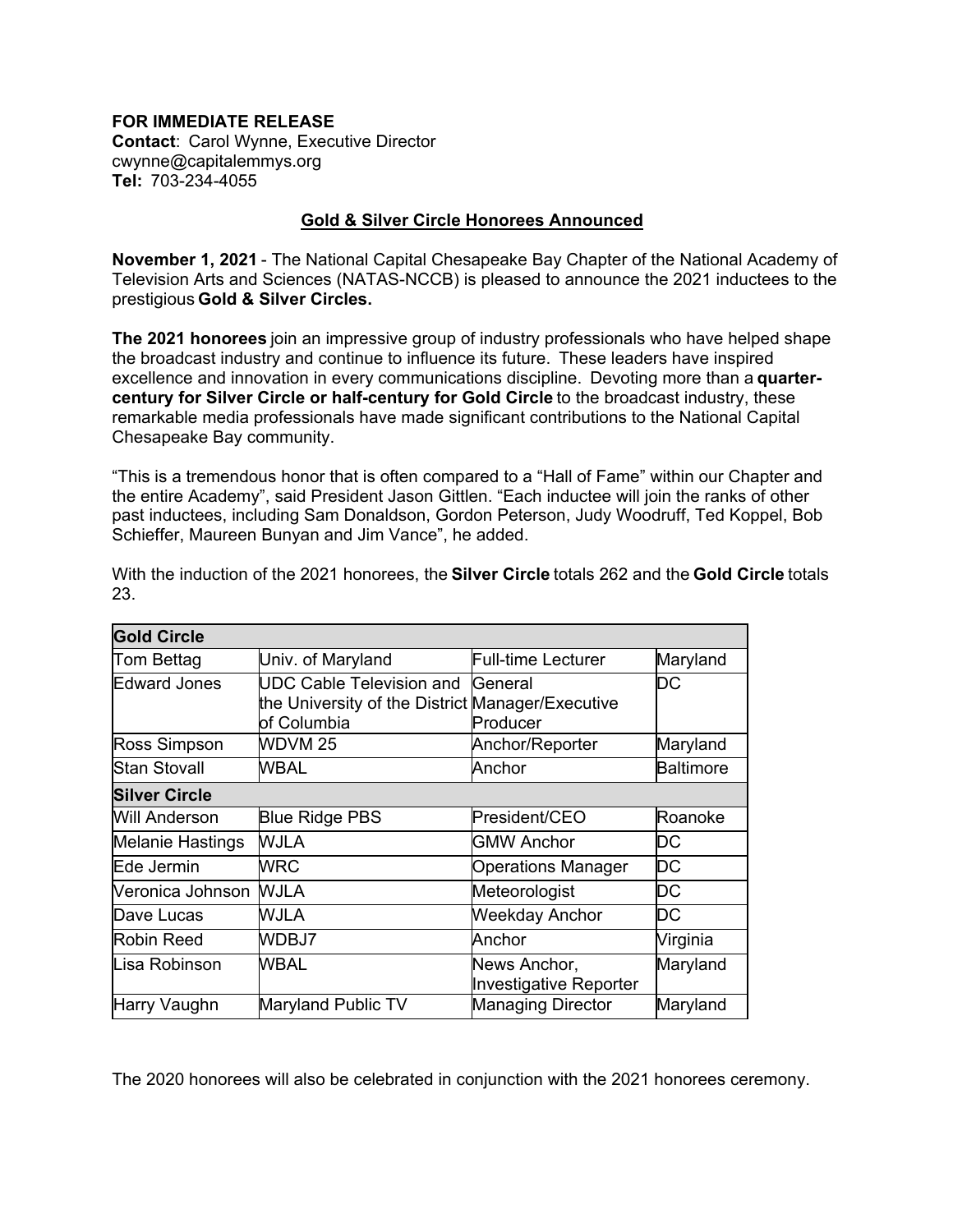## **FOR IMMEDIATE RELEASE**

**Contact**: Carol Wynne, Executive Director cwynne@capitalemmys.org   **Tel:** 703-234-4055   

## **Gold & Silver Circle Honorees Announced**

**November 1, 2021** - The National Capital Chesapeake Bay Chapter of the National Academy of Television Arts and Sciences (NATAS-NCCB) is pleased to announce the 2021 inductees to the prestigious **Gold & Silver Circles.**  

**The 2021 honorees** join an impressive group of industry professionals who have helped shape the broadcast industry and continue to influence its future. These leaders have inspired excellence and innovation in every communications discipline. Devoting more than a **quartercentury for Silver Circle or half-century for Gold Circle** to the broadcast industry, these remarkable media professionals have made significant contributions to the National Capital Chesapeake Bay community.

"This is a tremendous honor that is often compared to a "Hall of Fame" within our Chapter and the entire Academy", said President Jason Gittlen. "Each inductee will join the ranks of other past inductees, including Sam Donaldson, Gordon Peterson, Judy Woodruff, Ted Koppel, Bob Schieffer, Maureen Bunyan and Jim Vance", he added.

| <b>Gold Circle</b>   |                                                                                                            |                                        |                  |  |  |
|----------------------|------------------------------------------------------------------------------------------------------------|----------------------------------------|------------------|--|--|
| Tom Bettag           | Univ. of Maryland                                                                                          | <b>Full-time Lecturer</b>              | Maryland         |  |  |
| <b>Edward Jones</b>  | <b>UDC Cable Television and General</b><br>the University of the District Manager/Executive<br>of Columbia | Producer                               | DC               |  |  |
| Ross Simpson         | WDVM <sub>25</sub>                                                                                         | Anchor/Reporter                        | Maryland         |  |  |
| <b>Stan Stovall</b>  | WBAL                                                                                                       | Anchor                                 | <b>Baltimore</b> |  |  |
| <b>Silver Circle</b> |                                                                                                            |                                        |                  |  |  |
| Will Anderson        | <b>Blue Ridge PBS</b>                                                                                      | President/CEO                          | Roanoke          |  |  |
| Melanie Hastings     | WJLA                                                                                                       | <b>GMW Anchor</b>                      | DC               |  |  |
| Ede Jermin           | <b>WRC</b>                                                                                                 | <b>Operations Manager</b>              | DC               |  |  |
| Neronica Johnson     | WJLA                                                                                                       | Meteorologist                          | DC               |  |  |
| Dave Lucas           | WJLA                                                                                                       | <b>Weekday Anchor</b>                  | DC               |  |  |
| Robin Reed           | WDBJ7                                                                                                      | Anchor                                 | Virginia         |  |  |
| Lisa Robinson        | WBAL                                                                                                       | News Anchor,<br>Investigative Reporter | Maryland         |  |  |
| Harry Vaughn         | Maryland Public TV                                                                                         | <b>Managing Director</b>               | Maryland         |  |  |

With the induction of the 2021 honorees, the **Silver Circle** totals 262 and the **Gold Circle** totals 23.

The 2020 honorees will also be celebrated in conjunction with the 2021 honorees ceremony.